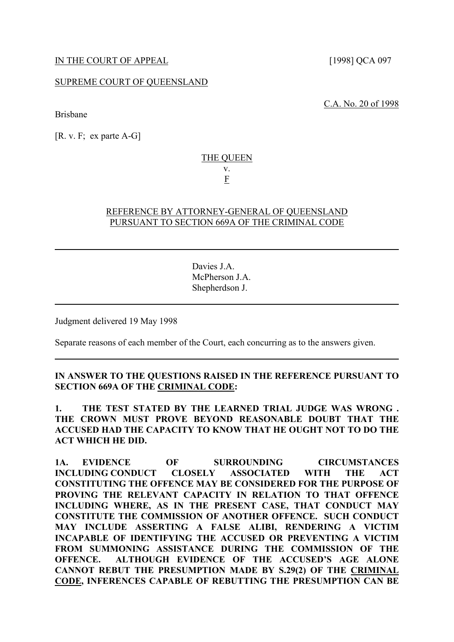### SUPREME COURT OF QUEENSLAND

Brisbane

[R. v. F; ex parte A-G]

# THE QUEEN v. F

## REFERENCE BY ATTORNEY-GENERAL OF QUEENSLAND PURSUANT TO SECTION 669A OF THE CRIMINAL CODE

Davies J.A. McPherson J.A. Shepherdson J.

Judgment delivered 19 May 1998

Separate reasons of each member of the Court, each concurring as to the answers given.

## **IN ANSWER TO THE QUESTIONS RAISED IN THE REFERENCE PURSUANT TO SECTION 669A OF THE CRIMINAL CODE:**

**1. THE TEST STATED BY THE LEARNED TRIAL JUDGE WAS WRONG . THE CROWN MUST PROVE BEYOND REASONABLE DOUBT THAT THE ACCUSED HAD THE CAPACITY TO KNOW THAT HE OUGHT NOT TO DO THE ACT WHICH HE DID.**

**1A. EVIDENCE OF SURROUNDING CIRCUMSTANCES INCLUDING CONDUCT CLOSELY ASSOCIATED WITH THE ACT CONSTITUTING THE OFFENCE MAY BE CONSIDERED FOR THE PURPOSE OF PROVING THE RELEVANT CAPACITY IN RELATION TO THAT OFFENCE INCLUDING WHERE, AS IN THE PRESENT CASE, THAT CONDUCT MAY CONSTITUTE THE COMMISSION OF ANOTHER OFFENCE. SUCH CONDUCT MAY INCLUDE ASSERTING A FALSE ALIBI, RENDERING A VICTIM INCAPABLE OF IDENTIFYING THE ACCUSED OR PREVENTING A VICTIM FROM SUMMONING ASSISTANCE DURING THE COMMISSION OF THE OFFENCE. ALTHOUGH EVIDENCE OF THE ACCUSED'S AGE ALONE CANNOT REBUT THE PRESUMPTION MADE BY S.29(2) OF THE CRIMINAL CODE, INFERENCES CAPABLE OF REBUTTING THE PRESUMPTION CAN BE** 

C.A. No. 20 of 1998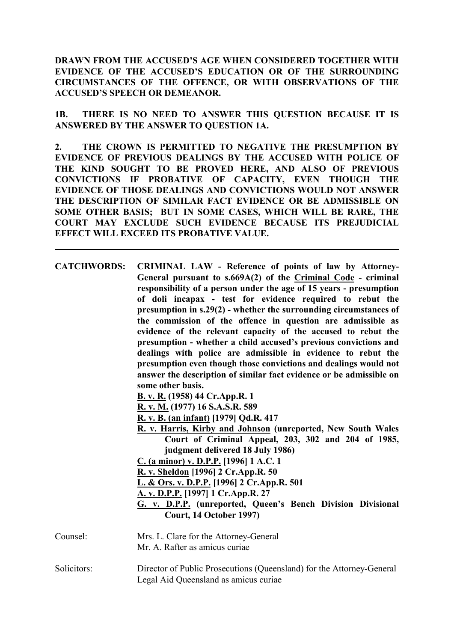**DRAWN FROM THE ACCUSED'S AGE WHEN CONSIDERED TOGETHER WITH EVIDENCE OF THE ACCUSED'S EDUCATION OR OF THE SURROUNDING CIRCUMSTANCES OF THE OFFENCE, OR WITH OBSERVATIONS OF THE ACCUSED'S SPEECH OR DEMEANOR.**

**1B. THERE IS NO NEED TO ANSWER THIS QUESTION BECAUSE IT IS ANSWERED BY THE ANSWER TO QUESTION 1A.**

**2. THE CROWN IS PERMITTED TO NEGATIVE THE PRESUMPTION BY EVIDENCE OF PREVIOUS DEALINGS BY THE ACCUSED WITH POLICE OF THE KIND SOUGHT TO BE PROVED HERE, AND ALSO OF PREVIOUS CONVICTIONS IF PROBATIVE OF CAPACITY, EVEN THOUGH THE EVIDENCE OF THOSE DEALINGS AND CONVICTIONS WOULD NOT ANSWER THE DESCRIPTION OF SIMILAR FACT EVIDENCE OR BE ADMISSIBLE ON SOME OTHER BASIS; BUT IN SOME CASES, WHICH WILL BE RARE, THE COURT MAY EXCLUDE SUCH EVIDENCE BECAUSE ITS PREJUDICIAL EFFECT WILL EXCEED ITS PROBATIVE VALUE.** 

| <b>CATCHWORDS:</b> | CRIMINAL LAW - Reference of points of law by Attorney-<br>General pursuant to s.669A(2) of the Criminal Code - criminal<br>responsibility of a person under the age of 15 years - presumption<br>of doli incapax - test for evidence required to rebut the<br>presumption in s.29(2) - whether the surrounding circumstances of<br>the commission of the offence in question are admissible as<br>evidence of the relevant capacity of the accused to rebut the<br>presumption - whether a child accused's previous convictions and<br>dealings with police are admissible in evidence to rebut the<br>presumption even though those convictions and dealings would not<br>answer the description of similar fact evidence or be admissible on<br>some other basis.<br>B. v. R. (1958) 44 Cr. App. R. 1<br>R. v. M. (1977) 16 S.A.S.R. 589<br>R. v. B. (an infant) [1979] Qd.R. 417<br>R. v. Harris, Kirby and Johnson (unreported, New South Wales<br>Court of Criminal Appeal, 203, 302 and 204 of 1985,<br>judgment delivered 18 July 1986)<br>C. (a minor) v. D.P.P. [1996] 1 A.C. 1<br>R. v. Sheldon [1996] 2 Cr. App. R. 50<br>L. & Ors. v. D.P.P. [1996] 2 Cr.App.R. 501<br>A. v. D.P.P. [1997] 1 Cr.App.R. 27<br>G. v. D.P.P. (unreported, Queen's Bench Division Divisional<br>Court, 14 October 1997) |
|--------------------|-----------------------------------------------------------------------------------------------------------------------------------------------------------------------------------------------------------------------------------------------------------------------------------------------------------------------------------------------------------------------------------------------------------------------------------------------------------------------------------------------------------------------------------------------------------------------------------------------------------------------------------------------------------------------------------------------------------------------------------------------------------------------------------------------------------------------------------------------------------------------------------------------------------------------------------------------------------------------------------------------------------------------------------------------------------------------------------------------------------------------------------------------------------------------------------------------------------------------------------------------------------------------------------------------------------------|
| Counsel:           | Mrs. L. Clare for the Attorney-General<br>Mr. A. Rafter as amicus curiae                                                                                                                                                                                                                                                                                                                                                                                                                                                                                                                                                                                                                                                                                                                                                                                                                                                                                                                                                                                                                                                                                                                                                                                                                                        |
| Solicitors:        | Director of Public Prosecutions (Queensland) for the Attorney-General<br>Legal Aid Queensland as amicus curiae                                                                                                                                                                                                                                                                                                                                                                                                                                                                                                                                                                                                                                                                                                                                                                                                                                                                                                                                                                                                                                                                                                                                                                                                  |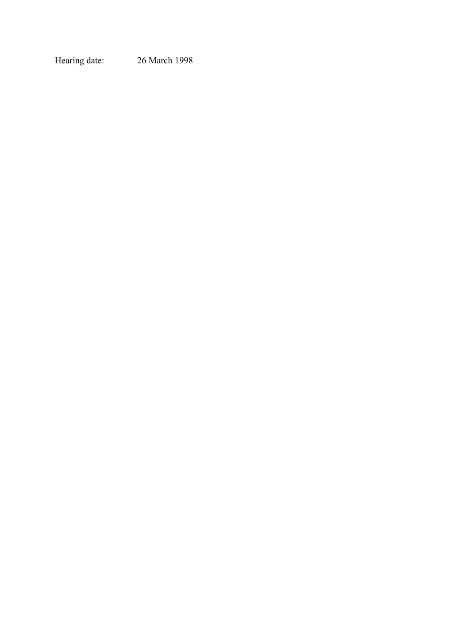Hearing date: 26 March 1998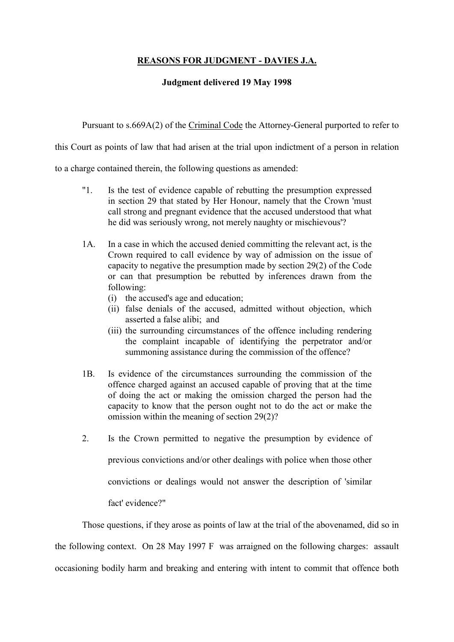# **REASONS FOR JUDGMENT - DAVIES J.A.**

## **Judgment delivered 19 May 1998**

Pursuant to s.669A(2) of the Criminal Code the Attorney-General purported to refer to

this Court as points of law that had arisen at the trial upon indictment of a person in relation

to a charge contained therein, the following questions as amended:

- "1. Is the test of evidence capable of rebutting the presumption expressed in section 29 that stated by Her Honour, namely that the Crown 'must call strong and pregnant evidence that the accused understood that what he did was seriously wrong, not merely naughty or mischievous'?
- 1A. In a case in which the accused denied committing the relevant act, is the Crown required to call evidence by way of admission on the issue of capacity to negative the presumption made by section 29(2) of the Code or can that presumption be rebutted by inferences drawn from the following:
	- (i) the accused's age and education;
	- (ii) false denials of the accused, admitted without objection, which asserted a false alibi; and
	- (iii) the surrounding circumstances of the offence including rendering the complaint incapable of identifying the perpetrator and/or summoning assistance during the commission of the offence?
- 1B. Is evidence of the circumstances surrounding the commission of the offence charged against an accused capable of proving that at the time of doing the act or making the omission charged the person had the capacity to know that the person ought not to do the act or make the omission within the meaning of section 29(2)?
- 2. Is the Crown permitted to negative the presumption by evidence of previous convictions and/or other dealings with police when those other convictions or dealings would not answer the description of 'similar fact' evidence?"

Those questions, if they arose as points of law at the trial of the abovenamed, did so in the following context. On 28 May 1997 F was arraigned on the following charges: assault occasioning bodily harm and breaking and entering with intent to commit that offence both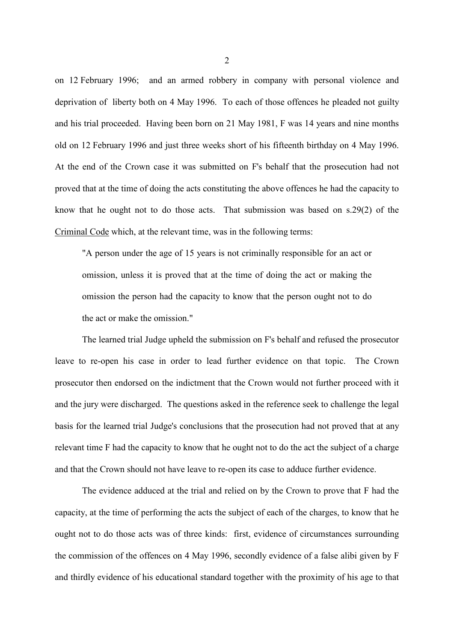on 12 February 1996; and an armed robbery in company with personal violence and deprivation of liberty both on 4 May 1996. To each of those offences he pleaded not guilty and his trial proceeded. Having been born on 21 May 1981, F was 14 years and nine months old on 12 February 1996 and just three weeks short of his fifteenth birthday on 4 May 1996. At the end of the Crown case it was submitted on F's behalf that the prosecution had not proved that at the time of doing the acts constituting the above offences he had the capacity to know that he ought not to do those acts. That submission was based on s.29(2) of the Criminal Code which, at the relevant time, was in the following terms:

"A person under the age of 15 years is not criminally responsible for an act or omission, unless it is proved that at the time of doing the act or making the omission the person had the capacity to know that the person ought not to do the act or make the omission."

The learned trial Judge upheld the submission on F's behalf and refused the prosecutor leave to re-open his case in order to lead further evidence on that topic. The Crown prosecutor then endorsed on the indictment that the Crown would not further proceed with it and the jury were discharged. The questions asked in the reference seek to challenge the legal basis for the learned trial Judge's conclusions that the prosecution had not proved that at any relevant time F had the capacity to know that he ought not to do the act the subject of a charge and that the Crown should not have leave to re-open its case to adduce further evidence.

The evidence adduced at the trial and relied on by the Crown to prove that F had the capacity, at the time of performing the acts the subject of each of the charges, to know that he ought not to do those acts was of three kinds: first, evidence of circumstances surrounding the commission of the offences on 4 May 1996, secondly evidence of a false alibi given by F and thirdly evidence of his educational standard together with the proximity of his age to that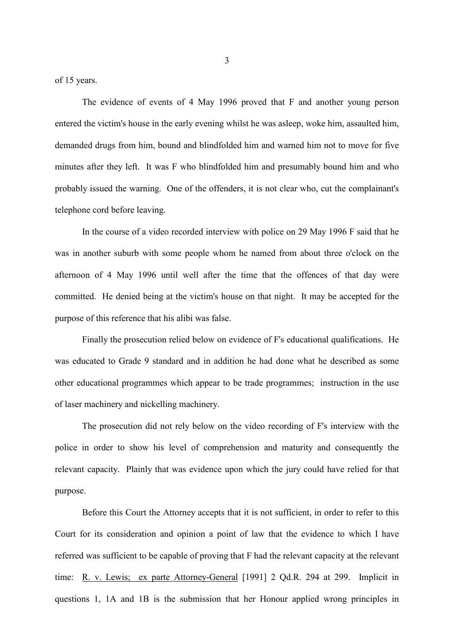of 15 years.

The evidence of events of 4 May 1996 proved that F and another young person entered the victim's house in the early evening whilst he was asleep, woke him, assaulted him, demanded drugs from him, bound and blindfolded him and warned him not to move for five minutes after they left. It was F who blindfolded him and presumably bound him and who probably issued the warning. One of the offenders, it is not clear who, cut the complainant's telephone cord before leaving.

In the course of a video recorded interview with police on 29 May 1996 F said that he was in another suburb with some people whom he named from about three o'clock on the afternoon of 4 May 1996 until well after the time that the offences of that day were committed. He denied being at the victim's house on that night. It may be accepted for the purpose of this reference that his alibi was false.

Finally the prosecution relied below on evidence of F's educational qualifications. He was educated to Grade 9 standard and in addition he had done what he described as some other educational programmes which appear to be trade programmes; instruction in the use of laser machinery and nickelling machinery.

The prosecution did not rely below on the video recording of F's interview with the police in order to show his level of comprehension and maturity and consequently the relevant capacity. Plainly that was evidence upon which the jury could have relied for that purpose.

Before this Court the Attorney accepts that it is not sufficient, in order to refer to this Court for its consideration and opinion a point of law that the evidence to which I have referred was sufficient to be capable of proving that F had the relevant capacity at the relevant time: R. v. Lewis; ex parte Attorney-General [1991] 2 Qd.R. 294 at 299. Implicit in questions 1, 1A and 1B is the submission that her Honour applied wrong principles in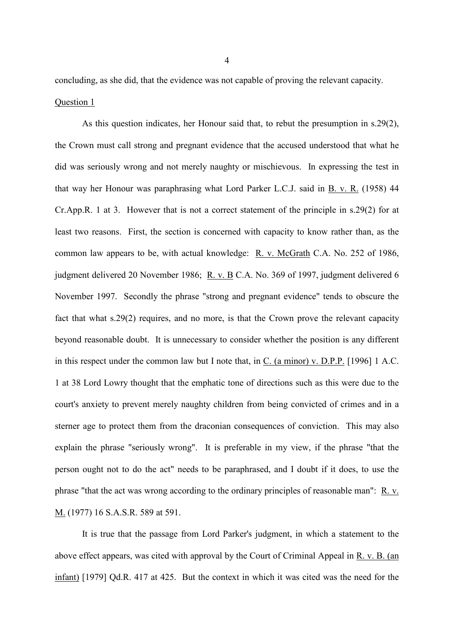concluding, as she did, that the evidence was not capable of proving the relevant capacity. Question 1

As this question indicates, her Honour said that, to rebut the presumption in s.29(2), the Crown must call strong and pregnant evidence that the accused understood that what he did was seriously wrong and not merely naughty or mischievous. In expressing the test in that way her Honour was paraphrasing what Lord Parker L.C.J. said in B. v. R. (1958) 44 Cr.App.R. 1 at 3. However that is not a correct statement of the principle in s.29(2) for at least two reasons. First, the section is concerned with capacity to know rather than, as the common law appears to be, with actual knowledge: R. v. McGrath C.A. No. 252 of 1986, judgment delivered 20 November 1986; R. v. B C.A. No. 369 of 1997, judgment delivered 6 November 1997. Secondly the phrase "strong and pregnant evidence" tends to obscure the fact that what s.29(2) requires, and no more, is that the Crown prove the relevant capacity beyond reasonable doubt. It is unnecessary to consider whether the position is any different in this respect under the common law but I note that, in C. (a minor) v. D.P.P. [1996] 1 A.C. 1 at 38 Lord Lowry thought that the emphatic tone of directions such as this were due to the court's anxiety to prevent merely naughty children from being convicted of crimes and in a sterner age to protect them from the draconian consequences of conviction. This may also explain the phrase "seriously wrong". It is preferable in my view, if the phrase "that the person ought not to do the act" needs to be paraphrased, and I doubt if it does, to use the phrase "that the act was wrong according to the ordinary principles of reasonable man": R. v. M. (1977) 16 S.A.S.R. 589 at 591.

It is true that the passage from Lord Parker's judgment, in which a statement to the above effect appears, was cited with approval by the Court of Criminal Appeal in R. v. B. (an infant) [1979] Qd.R. 417 at 425. But the context in which it was cited was the need for the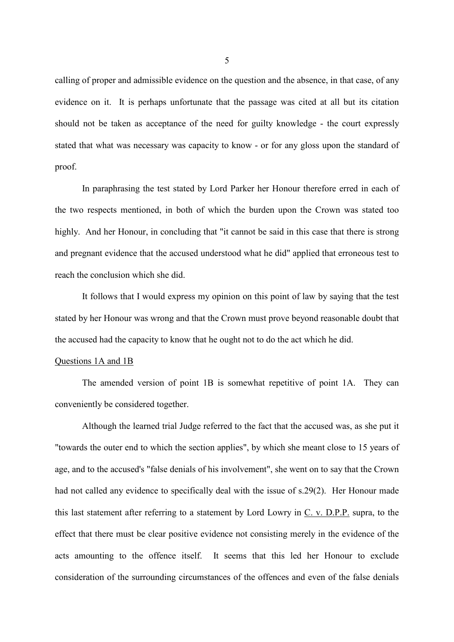calling of proper and admissible evidence on the question and the absence, in that case, of any evidence on it. It is perhaps unfortunate that the passage was cited at all but its citation should not be taken as acceptance of the need for guilty knowledge - the court expressly stated that what was necessary was capacity to know - or for any gloss upon the standard of proof.

In paraphrasing the test stated by Lord Parker her Honour therefore erred in each of the two respects mentioned, in both of which the burden upon the Crown was stated too highly. And her Honour, in concluding that "it cannot be said in this case that there is strong and pregnant evidence that the accused understood what he did" applied that erroneous test to reach the conclusion which she did.

It follows that I would express my opinion on this point of law by saying that the test stated by her Honour was wrong and that the Crown must prove beyond reasonable doubt that the accused had the capacity to know that he ought not to do the act which he did.

#### Questions 1A and 1B

The amended version of point 1B is somewhat repetitive of point 1A. They can conveniently be considered together.

Although the learned trial Judge referred to the fact that the accused was, as she put it "towards the outer end to which the section applies", by which she meant close to 15 years of age, and to the accused's "false denials of his involvement", she went on to say that the Crown had not called any evidence to specifically deal with the issue of s.29(2). Her Honour made this last statement after referring to a statement by Lord Lowry in C. v. D.P.P. supra, to the effect that there must be clear positive evidence not consisting merely in the evidence of the acts amounting to the offence itself. It seems that this led her Honour to exclude consideration of the surrounding circumstances of the offences and even of the false denials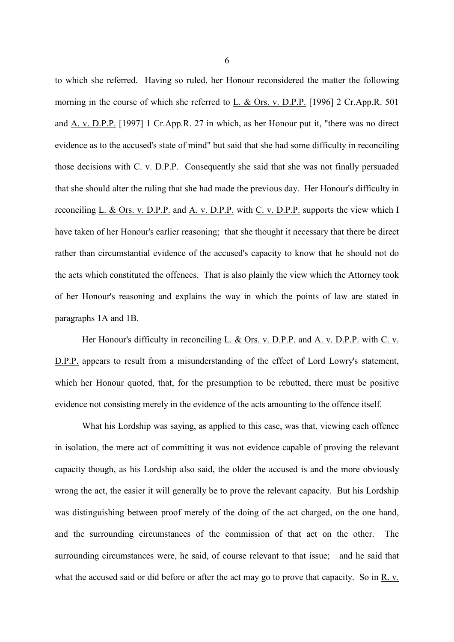to which she referred. Having so ruled, her Honour reconsidered the matter the following morning in the course of which she referred to L. & Ors. v. D.P.P. [1996] 2 Cr.App.R. 501 and A. v. D.P.P. [1997] 1 Cr.App.R. 27 in which, as her Honour put it, "there was no direct evidence as to the accused's state of mind" but said that she had some difficulty in reconciling those decisions with C. v. D.P.P. Consequently she said that she was not finally persuaded that she should alter the ruling that she had made the previous day. Her Honour's difficulty in reconciling L. & Ors. v. D.P.P. and A. v. D.P.P. with C. v. D.P.P. supports the view which I have taken of her Honour's earlier reasoning; that she thought it necessary that there be direct rather than circumstantial evidence of the accused's capacity to know that he should not do the acts which constituted the offences. That is also plainly the view which the Attorney took of her Honour's reasoning and explains the way in which the points of law are stated in paragraphs 1A and 1B.

Her Honour's difficulty in reconciling L. & Ors. v. D.P.P. and A. v. D.P.P. with C. v. D.P.P. appears to result from a misunderstanding of the effect of Lord Lowry's statement, which her Honour quoted, that, for the presumption to be rebutted, there must be positive evidence not consisting merely in the evidence of the acts amounting to the offence itself.

What his Lordship was saying, as applied to this case, was that, viewing each offence in isolation, the mere act of committing it was not evidence capable of proving the relevant capacity though, as his Lordship also said, the older the accused is and the more obviously wrong the act, the easier it will generally be to prove the relevant capacity. But his Lordship was distinguishing between proof merely of the doing of the act charged, on the one hand, and the surrounding circumstances of the commission of that act on the other. The surrounding circumstances were, he said, of course relevant to that issue; and he said that what the accused said or did before or after the act may go to prove that capacity. So in R. v.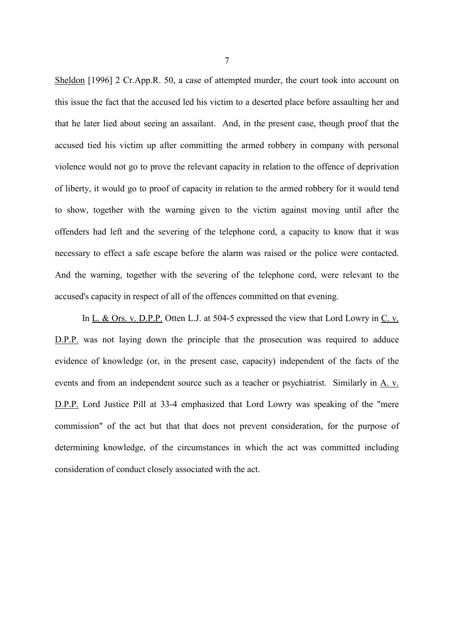Sheldon [1996] 2 Cr.App.R. 50, a case of attempted murder, the court took into account on this issue the fact that the accused led his victim to a deserted place before assaulting her and that he later lied about seeing an assailant. And, in the present case, though proof that the accused tied his victim up after committing the armed robbery in company with personal violence would not go to prove the relevant capacity in relation to the offence of deprivation of liberty, it would go to proof of capacity in relation to the armed robbery for it would tend to show, together with the warning given to the victim against moving until after the offenders had left and the severing of the telephone cord, a capacity to know that it was necessary to effect a safe escape before the alarm was raised or the police were contacted. And the warning, together with the severing of the telephone cord, were relevant to the accused's capacity in respect of all of the offences committed on that evening.

In L. & Ors. v. D.P.P. Otten L.J. at 504-5 expressed the view that Lord Lowry in C. v. D.P.P. was not laying down the principle that the prosecution was required to adduce evidence of knowledge (or, in the present case, capacity) independent of the facts of the events and from an independent source such as a teacher or psychiatrist. Similarly in A. v. D.P.P. Lord Justice Pill at 33-4 emphasized that Lord Lowry was speaking of the "mere commission" of the act but that that does not prevent consideration, for the purpose of determining knowledge, of the circumstances in which the act was committed including consideration of conduct closely associated with the act.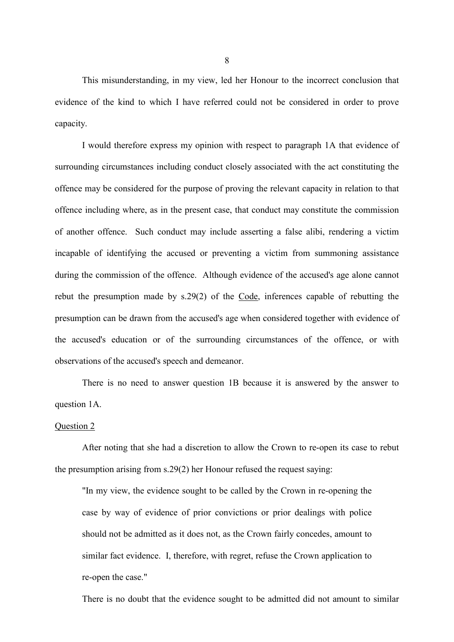This misunderstanding, in my view, led her Honour to the incorrect conclusion that evidence of the kind to which I have referred could not be considered in order to prove capacity.

I would therefore express my opinion with respect to paragraph 1A that evidence of surrounding circumstances including conduct closely associated with the act constituting the offence may be considered for the purpose of proving the relevant capacity in relation to that offence including where, as in the present case, that conduct may constitute the commission of another offence. Such conduct may include asserting a false alibi, rendering a victim incapable of identifying the accused or preventing a victim from summoning assistance during the commission of the offence. Although evidence of the accused's age alone cannot rebut the presumption made by s.29(2) of the Code, inferences capable of rebutting the presumption can be drawn from the accused's age when considered together with evidence of the accused's education or of the surrounding circumstances of the offence, or with observations of the accused's speech and demeanor.

There is no need to answer question 1B because it is answered by the answer to question 1A.

### Question 2

After noting that she had a discretion to allow the Crown to re-open its case to rebut the presumption arising from s.29(2) her Honour refused the request saying:

"In my view, the evidence sought to be called by the Crown in re-opening the case by way of evidence of prior convictions or prior dealings with police should not be admitted as it does not, as the Crown fairly concedes, amount to similar fact evidence. I, therefore, with regret, refuse the Crown application to re-open the case."

There is no doubt that the evidence sought to be admitted did not amount to similar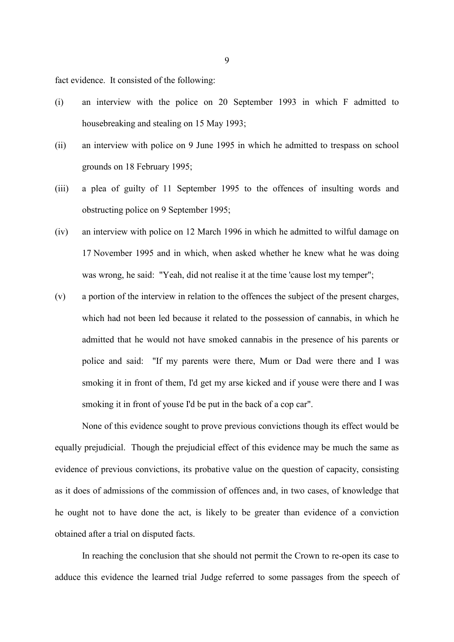fact evidence. It consisted of the following:

- (i) an interview with the police on 20 September 1993 in which F admitted to housebreaking and stealing on 15 May 1993;
- (ii) an interview with police on 9 June 1995 in which he admitted to trespass on school grounds on 18 February 1995;
- (iii) a plea of guilty of 11 September 1995 to the offences of insulting words and obstructing police on 9 September 1995;
- (iv) an interview with police on 12 March 1996 in which he admitted to wilful damage on 17 November 1995 and in which, when asked whether he knew what he was doing was wrong, he said: "Yeah, did not realise it at the time 'cause lost my temper";
- (v) a portion of the interview in relation to the offences the subject of the present charges, which had not been led because it related to the possession of cannabis, in which he admitted that he would not have smoked cannabis in the presence of his parents or police and said: "If my parents were there, Mum or Dad were there and I was smoking it in front of them, I'd get my arse kicked and if youse were there and I was smoking it in front of youse I'd be put in the back of a cop car".

None of this evidence sought to prove previous convictions though its effect would be equally prejudicial. Though the prejudicial effect of this evidence may be much the same as evidence of previous convictions, its probative value on the question of capacity, consisting as it does of admissions of the commission of offences and, in two cases, of knowledge that he ought not to have done the act, is likely to be greater than evidence of a conviction obtained after a trial on disputed facts.

In reaching the conclusion that she should not permit the Crown to re-open its case to adduce this evidence the learned trial Judge referred to some passages from the speech of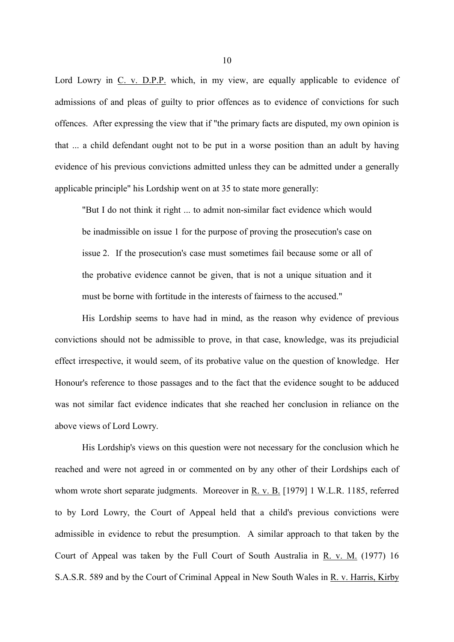Lord Lowry in C. v. D.P.P. which, in my view, are equally applicable to evidence of admissions of and pleas of guilty to prior offences as to evidence of convictions for such offences. After expressing the view that if "the primary facts are disputed, my own opinion is that ... a child defendant ought not to be put in a worse position than an adult by having evidence of his previous convictions admitted unless they can be admitted under a generally applicable principle" his Lordship went on at 35 to state more generally:

"But I do not think it right ... to admit non-similar fact evidence which would be inadmissible on issue 1 for the purpose of proving the prosecution's case on issue 2. If the prosecution's case must sometimes fail because some or all of the probative evidence cannot be given, that is not a unique situation and it must be borne with fortitude in the interests of fairness to the accused."

His Lordship seems to have had in mind, as the reason why evidence of previous convictions should not be admissible to prove, in that case, knowledge, was its prejudicial effect irrespective, it would seem, of its probative value on the question of knowledge. Her Honour's reference to those passages and to the fact that the evidence sought to be adduced was not similar fact evidence indicates that she reached her conclusion in reliance on the above views of Lord Lowry.

His Lordship's views on this question were not necessary for the conclusion which he reached and were not agreed in or commented on by any other of their Lordships each of whom wrote short separate judgments. Moreover in R. v. B. [1979] 1 W.L.R. 1185, referred to by Lord Lowry, the Court of Appeal held that a child's previous convictions were admissible in evidence to rebut the presumption. A similar approach to that taken by the Court of Appeal was taken by the Full Court of South Australia in R. v. M. (1977) 16 S.A.S.R. 589 and by the Court of Criminal Appeal in New South Wales in R. v. Harris, Kirby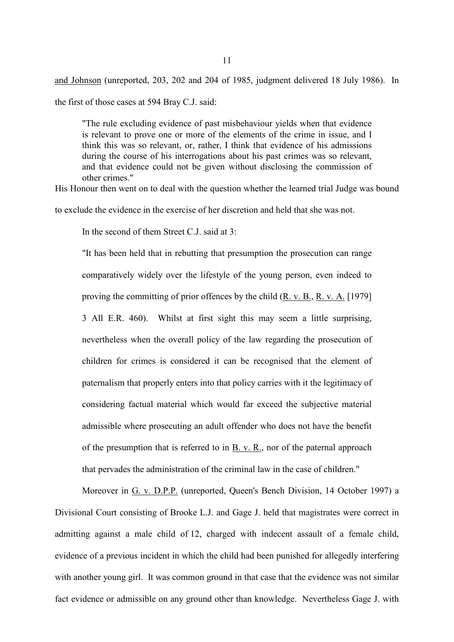and Johnson (unreported, 203, 202 and 204 of 1985, judgment delivered 18 July 1986). In

the first of those cases at 594 Bray C.J. said:

"The rule excluding evidence of past misbehaviour yields when that evidence is relevant to prove one or more of the elements of the crime in issue, and I think this was so relevant, or, rather, I think that evidence of his admissions during the course of his interrogations about his past crimes was so relevant, and that evidence could not be given without disclosing the commission of other crimes."

His Honour then went on to deal with the question whether the learned trial Judge was bound

to exclude the evidence in the exercise of her discretion and held that she was not.

In the second of them Street C.J. said at  $3<sup>2</sup>$ 

"It has been held that in rebutting that presumption the prosecution can range comparatively widely over the lifestyle of the young person, even indeed to proving the committing of prior offences by the child (R. v. B., R. v. A. [1979] 3 All E.R. 460). Whilst at first sight this may seem a little surprising, nevertheless when the overall policy of the law regarding the prosecution of children for crimes is considered it can be recognised that the element of paternalism that properly enters into that policy carries with it the legitimacy of considering factual material which would far exceed the subjective material admissible where prosecuting an adult offender who does not have the benefit of the presumption that is referred to in B. v. R., nor of the paternal approach that pervades the administration of the criminal law in the case of children."

Moreover in G. v. D.P.P. (unreported, Queen's Bench Division, 14 October 1997) a Divisional Court consisting of Brooke L.J. and Gage J. held that magistrates were correct in admitting against a male child of 12, charged with indecent assault of a female child, evidence of a previous incident in which the child had been punished for allegedly interfering with another young girl. It was common ground in that case that the evidence was not similar fact evidence or admissible on any ground other than knowledge. Nevertheless Gage J. with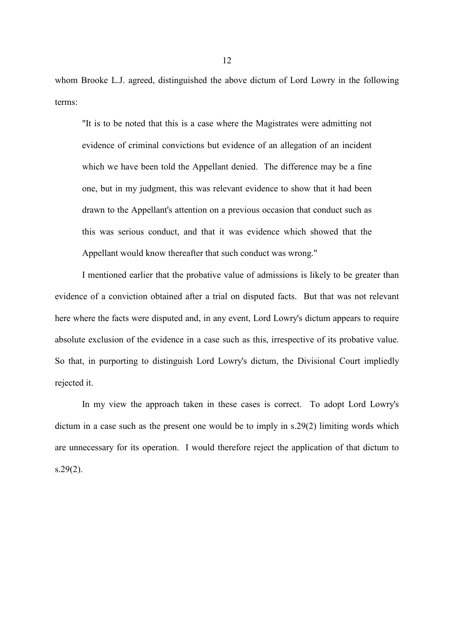whom Brooke L.J. agreed, distinguished the above dictum of Lord Lowry in the following terms:

"It is to be noted that this is a case where the Magistrates were admitting not evidence of criminal convictions but evidence of an allegation of an incident which we have been told the Appellant denied. The difference may be a fine one, but in my judgment, this was relevant evidence to show that it had been drawn to the Appellant's attention on a previous occasion that conduct such as this was serious conduct, and that it was evidence which showed that the Appellant would know thereafter that such conduct was wrong."

I mentioned earlier that the probative value of admissions is likely to be greater than evidence of a conviction obtained after a trial on disputed facts. But that was not relevant here where the facts were disputed and, in any event, Lord Lowry's dictum appears to require absolute exclusion of the evidence in a case such as this, irrespective of its probative value. So that, in purporting to distinguish Lord Lowry's dictum, the Divisional Court impliedly rejected it.

In my view the approach taken in these cases is correct. To adopt Lord Lowry's dictum in a case such as the present one would be to imply in s.29(2) limiting words which are unnecessary for its operation. I would therefore reject the application of that dictum to  $s.29(2)$ .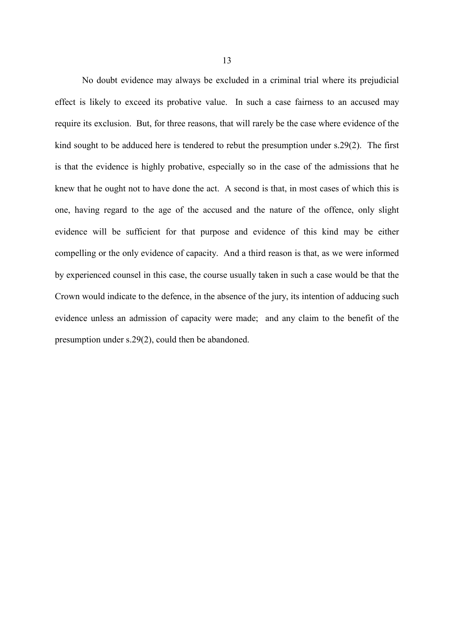No doubt evidence may always be excluded in a criminal trial where its prejudicial effect is likely to exceed its probative value. In such a case fairness to an accused may require its exclusion. But, for three reasons, that will rarely be the case where evidence of the kind sought to be adduced here is tendered to rebut the presumption under s.29(2). The first is that the evidence is highly probative, especially so in the case of the admissions that he knew that he ought not to have done the act. A second is that, in most cases of which this is one, having regard to the age of the accused and the nature of the offence, only slight evidence will be sufficient for that purpose and evidence of this kind may be either compelling or the only evidence of capacity. And a third reason is that, as we were informed by experienced counsel in this case, the course usually taken in such a case would be that the Crown would indicate to the defence, in the absence of the jury, its intention of adducing such evidence unless an admission of capacity were made; and any claim to the benefit of the presumption under s.29(2), could then be abandoned.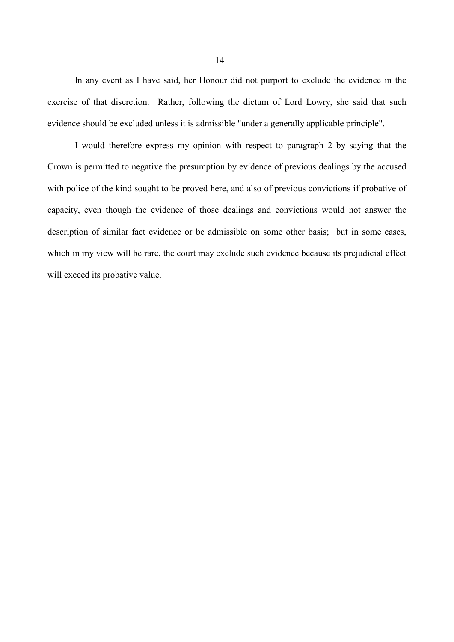In any event as I have said, her Honour did not purport to exclude the evidence in the exercise of that discretion. Rather, following the dictum of Lord Lowry, she said that such evidence should be excluded unless it is admissible "under a generally applicable principle".

I would therefore express my opinion with respect to paragraph 2 by saying that the Crown is permitted to negative the presumption by evidence of previous dealings by the accused with police of the kind sought to be proved here, and also of previous convictions if probative of capacity, even though the evidence of those dealings and convictions would not answer the description of similar fact evidence or be admissible on some other basis; but in some cases, which in my view will be rare, the court may exclude such evidence because its prejudicial effect will exceed its probative value.